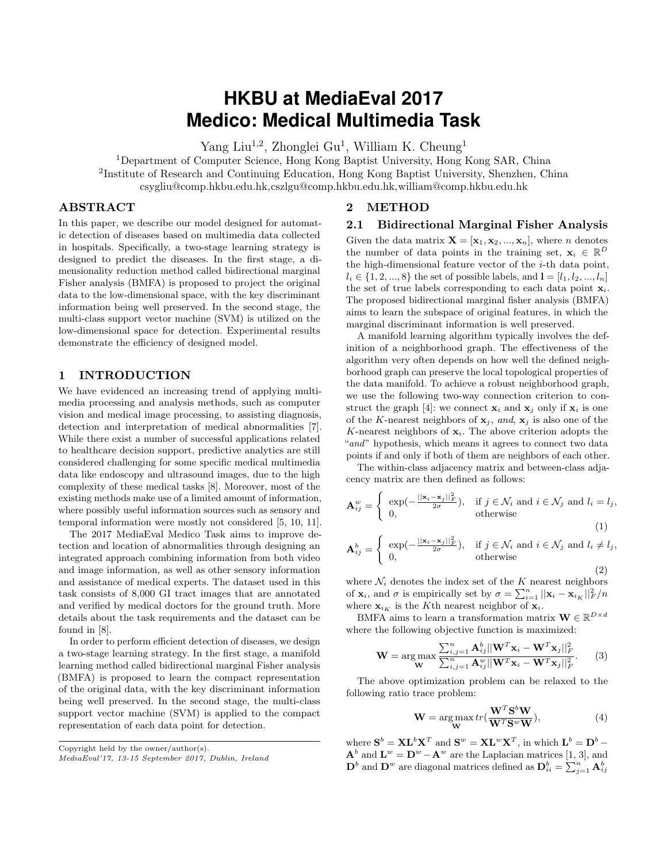# **HKBU at MediaEval 2017 Medico: Medical Multimedia Task**

Yang Liu<sup>1,2</sup>, Zhonglei Gu<sup>1</sup>, William K. Cheung<sup>1</sup>

<sup>1</sup>Department of Computer Science, Hong Kong Baptist University, Hong Kong SAR, China <sup>2</sup>Institute of Research and Continuing Education, Hong Kong Baptist University, Shenzhen, China csygliu@comp.hkbu.edu.hk,cszlgu@comp.hkbu.edu.hk,william@comp.hkbu.edu.hk

### ABSTRACT

In this paper, we describe our model designed for automatic detection of diseases based on multimedia data collected in hospitals. Specifically, a two-stage learning strategy is designed to predict the diseases. In the first stage, a dimensionality reduction method called bidirectional marginal Fisher analysis (BMFA) is proposed to project the original data to the low-dimensional space, with the key discriminant information being well preserved. In the second stage, the multi-class support vector machine (SVM) is utilized on the low-dimensional space for detection. Experimental results demonstrate the efficiency of designed model.

### 1 INTRODUCTION

We have evidenced an increasing trend of applying multimedia processing and analysis methods, such as computer vision and medical image processing, to assisting diagnosis, detection and interpretation of medical abnormalities [\[7\]](#page-2-0). While there exist a number of successful applications related to healthcare decision support, predictive analytics are still considered challenging for some specific medical multimedia data like endoscopy and ultrasound images, due to the high complexity of these medical tasks [\[8\]](#page-2-1). Moreover, most of the existing methods make use of a limited amount of information, where possibly useful information sources such as sensory and temporal information were mostly not considered [\[5,](#page-2-2) [10,](#page-2-3) [11\]](#page-2-4).

The 2017 MediaEval Medico Task aims to improve detection and location of abnormalities through designing an integrated approach combining information from both video and image information, as well as other sensory information and assistance of medical experts. The dataset used in this task consists of 8,000 GI tract images that are annotated and verified by medical doctors for the ground truth. More details about the task requirements and the dataset can be found in [\[8\]](#page-2-1).

In order to perform efficient detection of diseases, we design a two-stage learning strategy. In the first stage, a manifold learning method called bidirectional marginal Fisher analysis (BMFA) is proposed to learn the compact representation of the original data, with the key discriminant information being well preserved. In the second stage, the multi-class support vector machine (SVM) is applied to the compact representation of each data point for detection.

Copyright held by the owner/author(s).

### 2 METHOD

#### 2.1 Bidirectional Marginal Fisher Analysis

Given the data matrix  $\mathbf{X} = [\mathbf{x}_1, \mathbf{x}_2, ..., \mathbf{x}_n]$ , where *n* denotes the number of data points in the training set,  $\mathbf{x}_i \in \mathbb{R}^D$ the high-dimensional feature vector of the  $i$ -th data point,  $l_i \in \{1, 2, ..., 8\}$  the set of possible labels, and  $I = [l_1, l_2, ..., l_n]$ the set of true labels corresponding to each data point  $x_i$ . The proposed bidirectional marginal fisher analysis (BMFA) aims to learn the subspace of original features, in which the marginal discriminant information is well preserved.

A manifold learning algorithm typically involves the definition of a neighborhood graph. The effectiveness of the algorithm very often depends on how well the defined neighborhood graph can preserve the local topological properties of the data manifold. To achieve a robust neighborhood graph, we use the following two-way connection criterion to con-struct the graph [\[4\]](#page-2-5): we connect  $x_i$  and  $x_j$  only if  $x_i$  is one of the K-nearest neighbors of  $\mathbf{x}_j$ , and,  $\mathbf{x}_j$  is also one of the  $K$ -nearest neighbors of  $x_i$ . The above criterion adopts the "and" hypothesis, which means it agrees to connect two data points if and only if both of them are neighbors of each other.

The within-class adjacency matrix and between-class adjacency matrix are then defined as follows:

$$
\mathbf{A}_{ij}^{w} = \begin{cases} \exp(-\frac{||\mathbf{x}_i - \mathbf{x}_j||_F^2}{2\sigma}), & \text{if } j \in \mathcal{N}_i \text{ and } i \in \mathcal{N}_j \text{ and } l_i = l_j, \\ 0, & \text{otherwise} \end{cases}
$$
(1)

$$
\mathbf{A}_{ij}^{b} = \begin{cases} \exp(-\frac{||\mathbf{x}_{i} - \mathbf{x}_{j}||_{F}^{2}}{2\sigma}), & \text{if } j \in \mathcal{N}_{i} \text{ and } i \in \mathcal{N}_{j} \text{ and } l_{i} \neq l_{j}, \\ 0, & \text{otherwise} \end{cases}
$$
(2)

where  $\mathcal{N}_i$  denotes the index set of the  $K$  nearest neighbors of  $\mathbf{x}_i$ , and  $\sigma$  is empirically set by  $\sigma = \sum_{i=1}^n ||\mathbf{x}_i - \mathbf{x}_{i_K}||^2_F/n$ where  $\mathbf{x}_{i_K}$  is the K<sup>th</sup> nearest neighbor of  $\mathbf{x}_i$ .

BMFA aims to learn a transformation matrix  $\mathbf{W} \in \mathbb{R}^{D \times d}$ where the following objective function is maximized:

$$
\mathbf{W} = \arg \max_{\mathbf{W}} \frac{\sum_{i,j=1}^{n} \mathbf{A}_{ij}^{b} ||\mathbf{W}^{T} \mathbf{x}_{i} - \mathbf{W}^{T} \mathbf{x}_{j}||_{F}^{2}}{\sum_{i,j=1}^{n} \mathbf{A}_{ij}^{w} ||\mathbf{W}^{T} \mathbf{x}_{i} - \mathbf{W}^{T} \mathbf{x}_{j}||_{F}^{2}}.
$$
 (3)

The above optimization problem can be relaxed to the following ratio trace problem:

<span id="page-0-0"></span>
$$
\mathbf{W} = \underset{\mathbf{W}}{\arg \max} tr(\frac{\mathbf{W}^T \mathbf{S}^b \mathbf{W}}{\mathbf{W}^T \mathbf{S}^w \mathbf{W}}),
$$
(4)

where  $S^b = X L^b X^T$  and  $S^w = X L^w X^T$ , in which  $L^b = D^b \mathbf{A}^b$  and  $\mathbf{L}^w = \mathbf{D}^w - \mathbf{A}^w$  are the Laplacian matrices [\[1,](#page-2-6) [3\]](#page-2-7), and  $\mathbf{D}^b$  and  $\mathbf{D}^w$  are diagonal matrices defined as  $\mathbf{D}_{ii}^b = \sum_{j=1}^n \mathbf{A}_{ij}^b$ 

MediaEval'17, 13-15 September 2017, Dublin, Ireland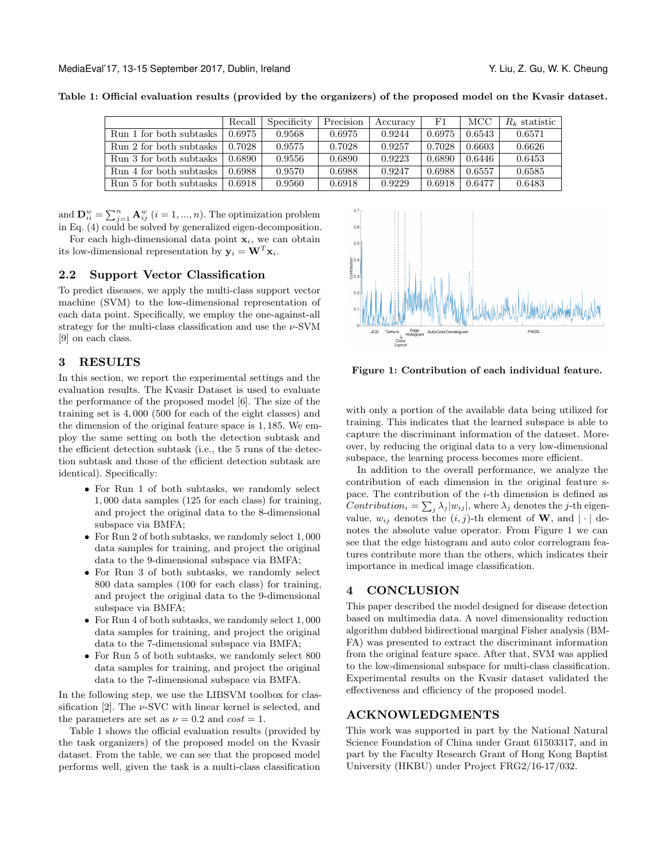|                         | Recall | Specificity | Precision | Accuracy | $_{\rm F1}$ | MCC    | $R_k$ statistic |
|-------------------------|--------|-------------|-----------|----------|-------------|--------|-----------------|
| Run 1 for both subtasks | 0.6975 | 0.9568      | 0.6975    | 0.9244   | 0.6975      | 0.6543 | 0.6571          |
| Run 2 for both subtasks | 0.7028 | 0.9575      | 0.7028    | 0.9257   | 0.7028      | 0.6603 | 0.6626          |
| Run 3 for both subtasks | 0.6890 | 0.9556      | 0.6890    | 0.9223   | 0.6890      | 0.6446 | 0.6453          |
| Run 4 for both subtasks | 0.6988 | 0.9570      | 0.6988    | 0.9247   | 0.6988      | 0.6557 | 0.6585          |
| Run 5 for both subtasks | 0.6918 | 0.9560      | 0.6918    | 0.9229   | 0.6918      | 0.6477 | 0.6483          |

<span id="page-1-0"></span>Table 1: Official evaluation results (provided by the organizers) of the proposed model on the Kvasir dataset.

and  $\mathbf{D}_{ii}^w = \sum_{j=1}^n \mathbf{A}_{ij}^w$   $(i = 1, ..., n)$ . The optimization problem in Eq. [\(4\)](#page-0-0) could be solved by generalized eigen-decomposition.

For each high-dimensional data point  $x_i$ , we can obtain its low-dimensional representation by  $y_i = \mathbf{W}^T \mathbf{x}_i$ .

## 2.2 Support Vector Classification

To predict diseases, we apply the multi-class support vector machine (SVM) to the low-dimensional representation of each data point. Specifically, we employ the one-against-all strategy for the multi-class classification and use the  $\nu$ -SVM [\[9\]](#page-2-8) on each class.

### 3 RESULTS

In this section, we report the experimental settings and the evaluation results. The Kvasir Dataset is used to evaluate the performance of the proposed model [\[6\]](#page-2-9). The size of the training set is 4, 000 (500 for each of the eight classes) and the dimension of the original feature space is 1, 185. We employ the same setting on both the detection subtask and the efficient detection subtask (i.e., the 5 runs of the detection subtask and those of the efficient detection subtask are identical). Specifically:

- ∙ For Run 1 of both subtasks, we randomly select 1, 000 data samples (125 for each class) for training, and project the original data to the 8-dimensional subspace via BMFA;
- ∙ For Run 2 of both subtasks, we randomly select 1, 000 data samples for training, and project the original data to the 9-dimensional subspace via BMFA;
- ∙ For Run 3 of both subtasks, we randomly select 800 data samples (100 for each class) for training, and project the original data to the 9-dimensional subspace via BMFA;
- ∙ For Run 4 of both subtasks, we randomly select 1, 000 data samples for training, and project the original data to the 7-dimensional subspace via BMFA;
- ∙ For Run 5 of both subtasks, we randomly select 800 data samples for training, and project the original data to the 7-dimensional subspace via BMFA.

In the following step, we use the LIBSVM toolbox for classification  $[2]$ . The  $\nu$ -SVC with linear kernel is selected, and the parameters are set as  $\nu = 0.2$  and  $cost = 1$ .

Table [1](#page-1-0) shows the official evaluation results (provided by the task organizers) of the proposed model on the Kvasir dataset. From the table, we can see that the proposed model performs well, given the task is a multi-class classification

<span id="page-1-1"></span>

Figure 1: Contribution of each individual feature.

with only a portion of the available data being utilized for training. This indicates that the learned subspace is able to capture the discriminant information of the dataset. Moreover, by reducing the original data to a very low-dimensional subspace, the learning process becomes more efficient.

In addition to the overall performance, we analyze the contribution of each dimension in the original feature space. The contribution of the  $i$ -th dimension is defined as Contribution<sub>i</sub> =  $\sum_j \lambda_j |w_{ij}|$ , where  $\lambda_j$  denotes the j-th eigenvalue,  $w_{ij}$  denotes the  $(i, j)$ -th element of **W**, and  $|\cdot|$  denotes the absolute value operator. From Figure [1](#page-1-1) we can see that the edge histogram and auto color correlogram features contribute more than the others, which indicates their importance in medical image classification.

### 4 CONCLUSION

This paper described the model designed for disease detection based on multimedia data. A novel dimensionality reduction algorithm dubbed bidirectional marginal Fisher analysis (BM-FA) was presented to extract the discriminant information from the original feature space. After that, SVM was applied to the low-dimensional subspace for multi-class classification. Experimental results on the Kvasir dataset validated the effectiveness and efficiency of the proposed model.

#### ACKNOWLEDGMENTS

This work was supported in part by the National Natural Science Foundation of China under Grant 61503317, and in part by the Faculty Research Grant of Hong Kong Baptist University (HKBU) under Project FRG2/16-17/032.